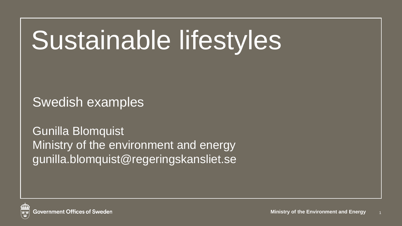# Sustainable lifestyles

Swedish examples

Gunilla Blomquist Ministry of the environment and energy gunilla.blomquist@regeringskansliet.se

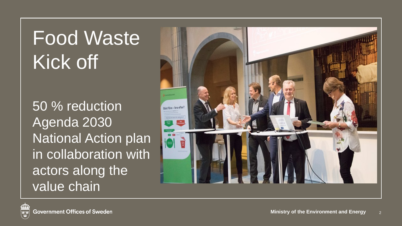### Food Waste Kick off

50 % reduction Agenda 2030 National Action plan in collaboration with actors along the value chain

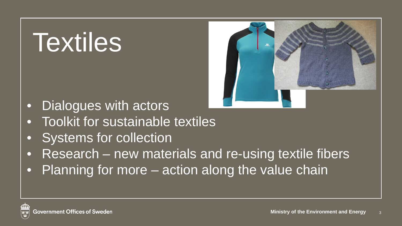# Textiles



- Dialogues with actors
- **Toolkit for sustainable textiles**
- Systems for collection
- Research new materials and re-using textile fibers
- Planning for more action along the value chain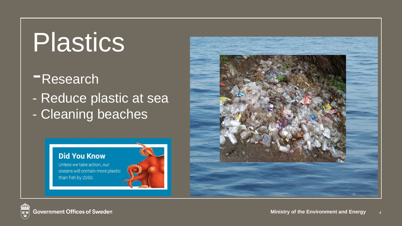## Plastics

### -Research

- Reduce plastic at sea - Cleaning beaches



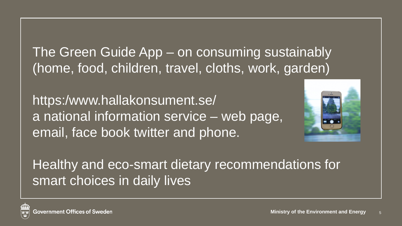The Green Guide App – on consuming sustainably (home, food, children, travel, cloths, work, garden)

https:/www.hallakonsument.se/ a national information service – web page, email, face book twitter and phone.



Healthy and eco-smart dietary recommendations for smart choices in daily lives

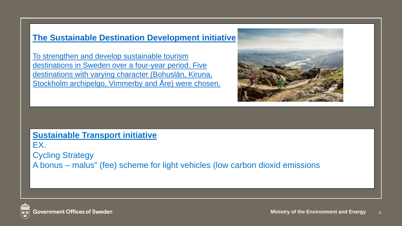### **[The Sustainable Destination Development initiative](http://www.scpclearinghouse.org/initiative/sustainable-destination-development)**

To strengthen and develop sustainable tourism destinations in Sweden over a four-year period. Five destinations with varying character (Bohuslän, Kiruna, Stockholm archipelgo, Vimmerby and Åre) were chosen.



### **Sustainable Transport initiative**

EX. Cycling Strategy A bonus – malus" (fee) scheme for light vehicles (low carbon dioxid emissions